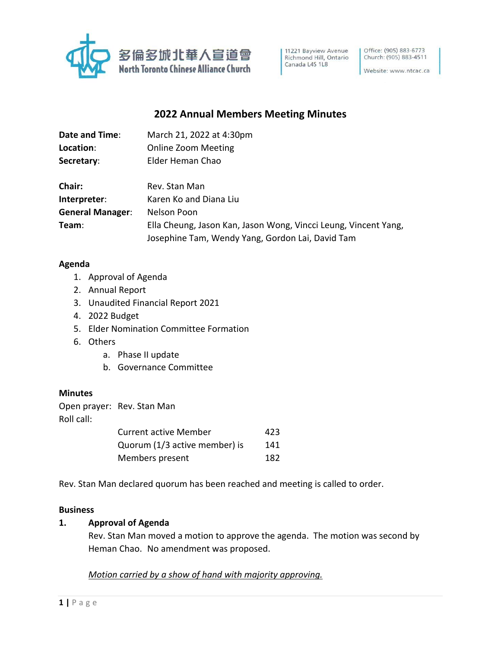

11221 Bayview Avenue<br>Richmond Hill, Ontario Canada L4S 1L8

Office: (905) 883-6773 Church: (905) 883-4511

Website: www.ntcac.ca

# **2022 Annual Members Meeting Minutes**

| Date and Time:          | March 21, 2022 at 4:30pm                                        |
|-------------------------|-----------------------------------------------------------------|
| Location:               | <b>Online Zoom Meeting</b>                                      |
| Secretary:              | Elder Heman Chao                                                |
|                         |                                                                 |
| Chair:                  | Rev. Stan Man                                                   |
| Interpreter:            | Karen Ko and Diana Liu                                          |
| <b>General Manager:</b> | Nelson Poon                                                     |
| Team:                   | Ella Cheung, Jason Kan, Jason Wong, Vincci Leung, Vincent Yang, |
|                         | Josephine Tam, Wendy Yang, Gordon Lai, David Tam                |

#### **Agenda**

- 1. Approval of Agenda
- 2. Annual Report
- 3. Unaudited Financial Report 2021
- 4. 2022 Budget
- 5. Elder Nomination Committee Formation
- 6. Others
	- a. Phase II update
	- b. Governance Committee

#### **Minutes**

|            | Open prayer: Rev. Stan Man |
|------------|----------------------------|
| Roll call: |                            |

| <b>Current active Member</b>  | 423 |
|-------------------------------|-----|
| Quorum (1/3 active member) is | 141 |
| Members present               | 182 |

Rev. Stan Man declared quorum has been reached and meeting is called to order.

#### **Business**

#### **1. Approval of Agenda**

Rev. Stan Man moved a motion to approve the agenda. The motion was second by Heman Chao. No amendment was proposed.

## *Motion carried by a show of hand with majority approving.*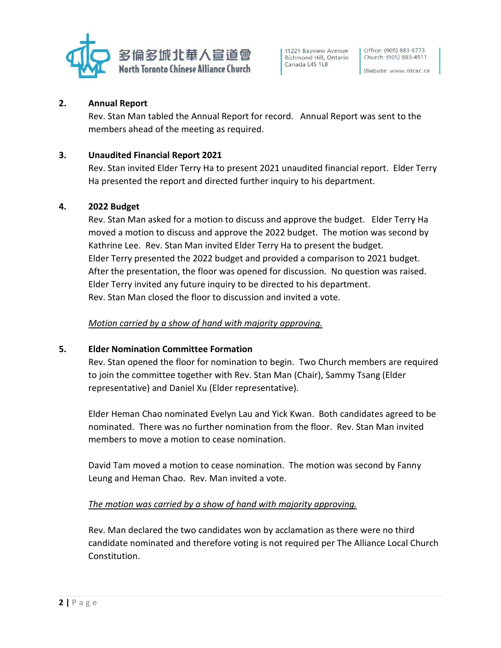

11221 Bayview Avenue Richmond Hill, Ontario Canada L4S 1L8

#### Website: www.ntcac.ca

#### **2. Annual Report**

Rev. Stan Man tabled the Annual Report for record. Annual Report was sent to the members ahead of the meeting as required.

### **3. Unaudited Financial Report 2021**

Rev. Stan invited Elder Terry Ha to present 2021 unaudited financial report. Elder Terry Ha presented the report and directed further inquiry to his department.

#### **4. 2022 Budget**

Rev. Stan Man asked for a motion to discuss and approve the budget. Elder Terry Ha moved a motion to discuss and approve the 2022 budget. The motion was second by Kathrine Lee. Rev. Stan Man invited Elder Terry Ha to present the budget. Elder Terry presented the 2022 budget and provided a comparison to 2021 budget. After the presentation, the floor was opened for discussion. No question was raised. Elder Terry invited any future inquiry to be directed to his department. Rev. Stan Man closed the floor to discussion and invited a vote.

#### *Motion carried by a show of hand with majority approving.*

#### **5. Elder Nomination Committee Formation**

Rev. Stan opened the floor for nomination to begin. Two Church members are required to join the committee together with Rev. Stan Man (Chair), Sammy Tsang (Elder representative) and Daniel Xu (Elder representative).

Elder Heman Chao nominated Evelyn Lau and Yick Kwan. Both candidates agreed to be nominated. There was no further nomination from the floor. Rev. Stan Man invited members to move a motion to cease nomination.

David Tam moved a motion to cease nomination. The motion was second by Fanny Leung and Heman Chao. Rev. Man invited a vote.

#### *The motion was carried by a show of hand with majority approving.*

Rev. Man declared the two candidates won by acclamation as there were no third candidate nominated and therefore voting is not required per The Alliance Local Church Constitution.